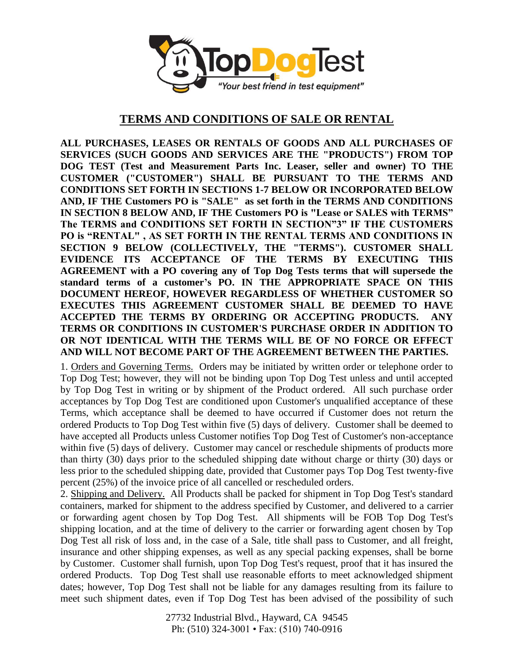

## **TERMS AND CONDITIONS OF SALE OR RENTAL**

**ALL PURCHASES, LEASES OR RENTALS OF GOODS AND ALL PURCHASES OF SERVICES (SUCH GOODS AND SERVICES ARE THE "PRODUCTS") FROM TOP DOG TEST (Test and Measurement Parts Inc. Leaser, seller and owner) TO THE CUSTOMER ("CUSTOMER") SHALL BE PURSUANT TO THE TERMS AND CONDITIONS SET FORTH IN SECTIONS 1-7 BELOW OR INCORPORATED BELOW AND, IF THE Customers PO is "SALE" as set forth in the TERMS AND CONDITIONS IN SECTION 8 BELOW AND, IF THE Customers PO is "Lease or SALES with TERMS" The TERMS and CONDITIONS SET FORTH IN SECTION"3" IF THE CUSTOMERS PO is "RENTAL" , AS SET FORTH IN THE RENTAL TERMS AND CONDITIONS IN SECTION 9 BELOW (COLLECTIVELY, THE "TERMS"). CUSTOMER SHALL EVIDENCE ITS ACCEPTANCE OF THE TERMS BY EXECUTING THIS AGREEMENT with a PO covering any of Top Dog Tests terms that will supersede the standard terms of a customer's PO. IN THE APPROPRIATE SPACE ON THIS DOCUMENT HEREOF, HOWEVER REGARDLESS OF WHETHER CUSTOMER SO EXECUTES THIS AGREEMENT CUSTOMER SHALL BE DEEMED TO HAVE ACCEPTED THE TERMS BY ORDERING OR ACCEPTING PRODUCTS. ANY TERMS OR CONDITIONS IN CUSTOMER'S PURCHASE ORDER IN ADDITION TO OR NOT IDENTICAL WITH THE TERMS WILL BE OF NO FORCE OR EFFECT AND WILL NOT BECOME PART OF THE AGREEMENT BETWEEN THE PARTIES.**

1. Orders and Governing Terms. Orders may be initiated by written order or telephone order to Top Dog Test; however, they will not be binding upon Top Dog Test unless and until accepted by Top Dog Test in writing or by shipment of the Product ordered. All such purchase order acceptances by Top Dog Test are conditioned upon Customer's unqualified acceptance of these Terms, which acceptance shall be deemed to have occurred if Customer does not return the ordered Products to Top Dog Test within five (5) days of delivery. Customer shall be deemed to have accepted all Products unless Customer notifies Top Dog Test of Customer's non-acceptance within five (5) days of delivery. Customer may cancel or reschedule shipments of products more than thirty (30) days prior to the scheduled shipping date without charge or thirty (30) days or less prior to the scheduled shipping date, provided that Customer pays Top Dog Test twenty-five percent (25%) of the invoice price of all cancelled or rescheduled orders.

2. Shipping and Delivery. All Products shall be packed for shipment in Top Dog Test's standard containers, marked for shipment to the address specified by Customer, and delivered to a carrier or forwarding agent chosen by Top Dog Test. All shipments will be FOB Top Dog Test's shipping location, and at the time of delivery to the carrier or forwarding agent chosen by Top Dog Test all risk of loss and, in the case of a Sale, title shall pass to Customer, and all freight, insurance and other shipping expenses, as well as any special packing expenses, shall be borne by Customer. Customer shall furnish, upon Top Dog Test's request, proof that it has insured the ordered Products. Top Dog Test shall use reasonable efforts to meet acknowledged shipment dates; however, Top Dog Test shall not be liable for any damages resulting from its failure to meet such shipment dates, even if Top Dog Test has been advised of the possibility of such

> 27732 Industrial Blvd., Hayward, CA 94545 Ph: (510) 324-3001 • Fax: (510) 740-0916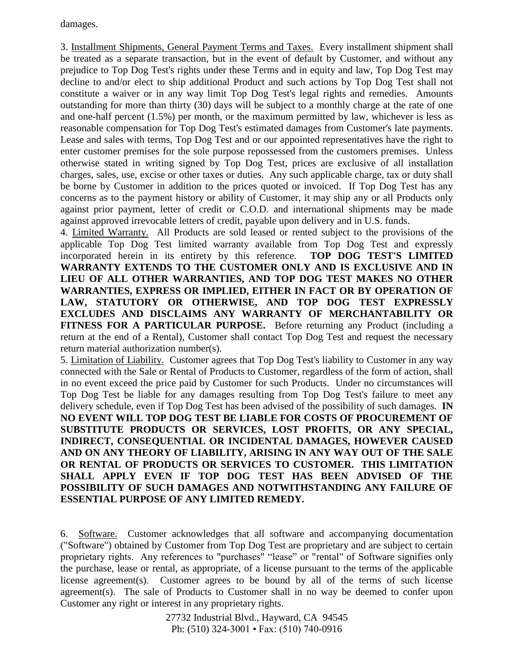damages.

3. Installment Shipments, General Payment Terms and Taxes. Every installment shipment shall be treated as a separate transaction, but in the event of default by Customer, and without any prejudice to Top Dog Test's rights under these Terms and in equity and law, Top Dog Test may decline to and/or elect to ship additional Product and such actions by Top Dog Test shall not constitute a waiver or in any way limit Top Dog Test's legal rights and remedies. Amounts outstanding for more than thirty (30) days will be subject to a monthly charge at the rate of one and one-half percent (1.5%) per month, or the maximum permitted by law, whichever is less as reasonable compensation for Top Dog Test's estimated damages from Customer's late payments. Lease and sales with terms, Top Dog Test and or our appointed representatives have the right to enter customer premises for the sole purpose repossessed from the customers premises. Unless otherwise stated in writing signed by Top Dog Test, prices are exclusive of all installation charges, sales, use, excise or other taxes or duties. Any such applicable charge, tax or duty shall be borne by Customer in addition to the prices quoted or invoiced. If Top Dog Test has any concerns as to the payment history or ability of Customer, it may ship any or all Products only against prior payment, letter of credit or C.O.D. and international shipments may be made against approved irrevocable letters of credit, payable upon delivery and in U.S. funds.

4. Limited Warranty. All Products are sold leased or rented subject to the provisions of the applicable Top Dog Test limited warranty available from Top Dog Test and expressly incorporated herein in its entirety by this reference. **TOP DOG TEST'S LIMITED WARRANTY EXTENDS TO THE CUSTOMER ONLY AND IS EXCLUSIVE AND IN LIEU OF ALL OTHER WARRANTIES, AND TOP DOG TEST MAKES NO OTHER WARRANTIES, EXPRESS OR IMPLIED, EITHER IN FACT OR BY OPERATION OF LAW, STATUTORY OR OTHERWISE, AND TOP DOG TEST EXPRESSLY EXCLUDES AND DISCLAIMS ANY WARRANTY OF MERCHANTABILITY OR FITNESS FOR A PARTICULAR PURPOSE.** Before returning any Product (including a return at the end of a Rental), Customer shall contact Top Dog Test and request the necessary return material authorization number(s).

5. Limitation of Liability. Customer agrees that Top Dog Test's liability to Customer in any way connected with the Sale or Rental of Products to Customer, regardless of the form of action, shall in no event exceed the price paid by Customer for such Products. Under no circumstances will Top Dog Test be liable for any damages resulting from Top Dog Test's failure to meet any delivery schedule, even if Top Dog Test has been advised of the possibility of such damages. **IN NO EVENT WILL TOP DOG TEST BE LIABLE FOR COSTS OF PROCUREMENT OF SUBSTITUTE PRODUCTS OR SERVICES, LOST PROFITS, OR ANY SPECIAL, INDIRECT, CONSEQUENTIAL OR INCIDENTAL DAMAGES, HOWEVER CAUSED AND ON ANY THEORY OF LIABILITY, ARISING IN ANY WAY OUT OF THE SALE OR RENTAL OF PRODUCTS OR SERVICES TO CUSTOMER. THIS LIMITATION SHALL APPLY EVEN IF TOP DOG TEST HAS BEEN ADVISED OF THE POSSIBILITY OF SUCH DAMAGES AND NOTWITHSTANDING ANY FAILURE OF ESSENTIAL PURPOSE OF ANY LIMITED REMEDY.**

6. Software. Customer acknowledges that all software and accompanying documentation ("Software") obtained by Customer from Top Dog Test are proprietary and are subject to certain proprietary rights. Any references to "purchases" "lease" or "rental" of Software signifies only the purchase, lease or rental, as appropriate, of a license pursuant to the terms of the applicable license agreement(s). Customer agrees to be bound by all of the terms of such license agreement(s). The sale of Products to Customer shall in no way be deemed to confer upon Customer any right or interest in any proprietary rights.

> 27732 Industrial Blvd., Hayward, CA 94545 Ph: (510) 324-3001 • Fax: (510) 740-0916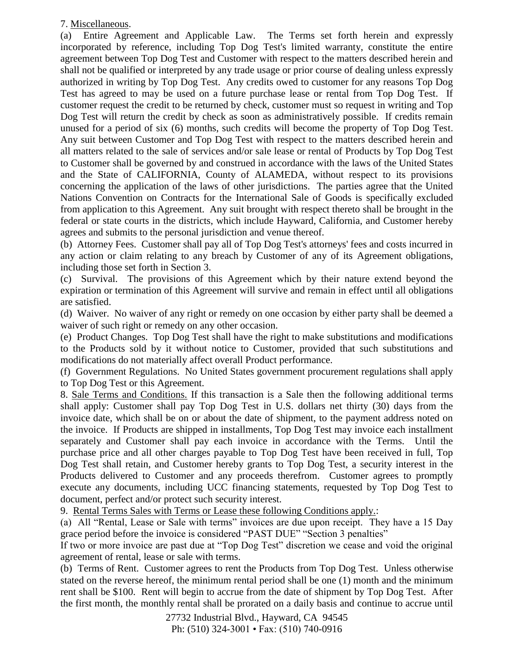## 7. Miscellaneous.

(a) Entire Agreement and Applicable Law. The Terms set forth herein and expressly incorporated by reference, including Top Dog Test's limited warranty, constitute the entire agreement between Top Dog Test and Customer with respect to the matters described herein and shall not be qualified or interpreted by any trade usage or prior course of dealing unless expressly authorized in writing by Top Dog Test. Any credits owed to customer for any reasons Top Dog Test has agreed to may be used on a future purchase lease or rental from Top Dog Test. If customer request the credit to be returned by check, customer must so request in writing and Top Dog Test will return the credit by check as soon as administratively possible. If credits remain unused for a period of six (6) months, such credits will become the property of Top Dog Test. Any suit between Customer and Top Dog Test with respect to the matters described herein and all matters related to the sale of services and/or sale lease or rental of Products by Top Dog Test to Customer shall be governed by and construed in accordance with the laws of the United States and the State of CALIFORNIA, County of ALAMEDA, without respect to its provisions concerning the application of the laws of other jurisdictions. The parties agree that the United Nations Convention on Contracts for the International Sale of Goods is specifically excluded from application to this Agreement. Any suit brought with respect thereto shall be brought in the federal or state courts in the districts, which include Hayward, California, and Customer hereby agrees and submits to the personal jurisdiction and venue thereof.

(b) Attorney Fees. Customer shall pay all of Top Dog Test's attorneys' fees and costs incurred in any action or claim relating to any breach by Customer of any of its Agreement obligations, including those set forth in Section 3.

(c) Survival. The provisions of this Agreement which by their nature extend beyond the expiration or termination of this Agreement will survive and remain in effect until all obligations are satisfied.

(d) Waiver. No waiver of any right or remedy on one occasion by either party shall be deemed a waiver of such right or remedy on any other occasion.

(e) Product Changes. Top Dog Test shall have the right to make substitutions and modifications to the Products sold by it without notice to Customer, provided that such substitutions and modifications do not materially affect overall Product performance.

(f) Government Regulations. No United States government procurement regulations shall apply to Top Dog Test or this Agreement.

8. Sale Terms and Conditions. If this transaction is a Sale then the following additional terms shall apply: Customer shall pay Top Dog Test in U.S. dollars net thirty (30) days from the invoice date, which shall be on or about the date of shipment, to the payment address noted on the invoice. If Products are shipped in installments, Top Dog Test may invoice each installment separately and Customer shall pay each invoice in accordance with the Terms. Until the purchase price and all other charges payable to Top Dog Test have been received in full, Top Dog Test shall retain, and Customer hereby grants to Top Dog Test, a security interest in the Products delivered to Customer and any proceeds therefrom. Customer agrees to promptly execute any documents, including UCC financing statements, requested by Top Dog Test to document, perfect and/or protect such security interest.

9. Rental Terms Sales with Terms or Lease these following Conditions apply.:

(a) All "Rental, Lease or Sale with terms" invoices are due upon receipt. They have a 15 Day grace period before the invoice is considered "PAST DUE" "Section 3 penalties"

If two or more invoice are past due at "Top Dog Test" discretion we cease and void the original agreement of rental, lease or sale with terms.

(b) Terms of Rent. Customer agrees to rent the Products from Top Dog Test. Unless otherwise stated on the reverse hereof, the minimum rental period shall be one (1) month and the minimum rent shall be \$100. Rent will begin to accrue from the date of shipment by Top Dog Test. After the first month, the monthly rental shall be prorated on a daily basis and continue to accrue until

> 27732 Industrial Blvd., Hayward, CA 94545 Ph: (510) 324-3001 • Fax: (510) 740-0916